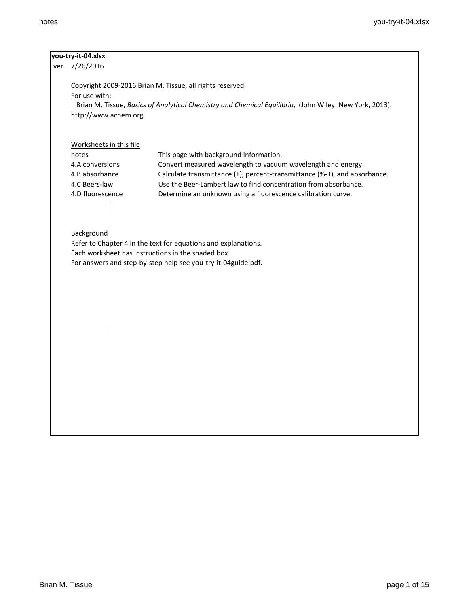### **you-try-it-04.xlsx**

ver. 7/26/2016

Copyright 2009-2016 Brian M. Tissue, all rights reserved. For use with: Brian M. Tissue, *Basics of Analytical Chemistry and Chemical Equilibria,* (John Wiley: New York, 2013). http://www.achem.org

# Worksheets in this file

| notes            | This page with background information.                                    |
|------------------|---------------------------------------------------------------------------|
| 4.A conversions  | Convert measured wavelength to vacuum wavelength and energy.              |
| 4.B absorbance   | Calculate transmittance (T), percent-transmittance (%-T), and absorbance. |
| 4.C Beers-law    | Use the Beer-Lambert law to find concentration from absorbance.           |
| 4.D fluorescence | Determine an unknown using a fluorescence calibration curve.              |

## **Background**

Refer to Chapter 4 in the text for equations and explanations. Each worksheet has instructions in the shaded box. For answers and step-by-step help see you-try-it-04guide.pdf.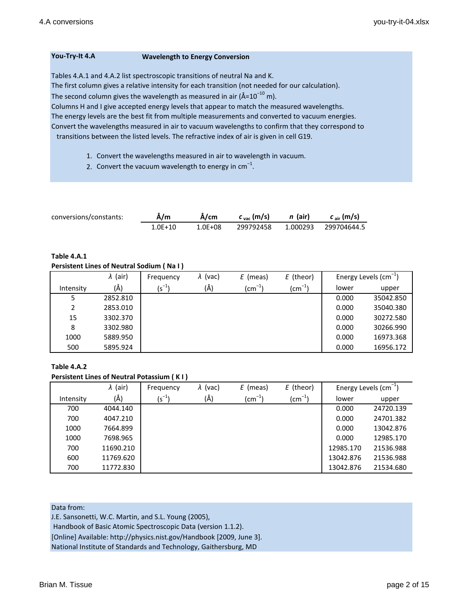### **You-Try-It 4.A Wavelength to Energy Conversion**

Tables 4.A.1 and 4.A.2 list spectroscopic transitions of neutral Na and K.

The first column gives a relative intensity for each transition (not needed for our calculation).

The second column gives the wavelength as measured in air (Å= $10^{-10}$  m).

Columns H and I give accepted energy levels that appear to match the measured wavelengths.

The energy levels are the best fit from multiple measurements and converted to vacuum energies. Convert the wavelengths measured in air to vacuum wavelengths to confirm that they correspond to

transitions between the listed levels. The refractive index of air is given in cell G19.

- 1. Convert the wavelengths measured in air to wavelength in vacuum.
- 2. Convert the vacuum wavelength to energy in  $cm^{-1}$ .

| conversions/constants: | Å/m     | Å/cm        | $c_{\rm vac}$ (m/s) | n (air)  | $c_{\text{air}}$ (m/s) |
|------------------------|---------|-------------|---------------------|----------|------------------------|
|                        | 1.0E+10 | $1.0E + 08$ | 299792458           | 1.000293 | 299704644.5            |

# **Table 4.A.1**

### **Persistent Lines of Neutral Sodium ( Na I )**

|               | $\lambda$ (air) | Frequency  | $\lambda$ (vac) | E (meas)      | E (theor)    |       | Energy Levels $\text{(cm}^{-1})$ |
|---------------|-----------------|------------|-----------------|---------------|--------------|-------|----------------------------------|
| Intensity     | (Å)             | $(s^{-1})$ | (Å)             | (cm $^{-1}$ ) | $-11$<br>(cm | lower | upper                            |
| 5             | 2852.810        |            |                 |               |              | 0.000 | 35042.850                        |
| $\mathcal{P}$ | 2853.010        |            |                 |               |              | 0.000 | 35040.380                        |
| 15            | 3302.370        |            |                 |               |              | 0.000 | 30272.580                        |
| 8             | 3302.980        |            |                 |               |              | 0.000 | 30266.990                        |
| 1000          | 5889.950        |            |                 |               |              | 0.000 | 16973.368                        |
| 500           | 5895.924        |            |                 |               |              | 0.000 | 16956.172                        |

# **Table 4.A.2**

### **Persistent Lines of Neutral Potassium ( K I )**

|           | $\lambda$ (air) | Frequency  | $\lambda$ (vac) | E (meas)           | E (theor)     |           | Energy Levels $\text{(cm}^{-1})$ |
|-----------|-----------------|------------|-----------------|--------------------|---------------|-----------|----------------------------------|
| Intensity | (Å)             | $(s^{-1})$ | (Å)             | $\text{(cm}^{-1})$ | (cm $^{-1}$ ) | lower     | upper                            |
| 700       | 4044.140        |            |                 |                    |               | 0.000     | 24720.139                        |
| 700       | 4047.210        |            |                 |                    |               | 0.000     | 24701.382                        |
| 1000      | 7664.899        |            |                 |                    |               | 0.000     | 13042.876                        |
| 1000      | 7698.965        |            |                 |                    |               | 0.000     | 12985.170                        |
| 700       | 11690.210       |            |                 |                    |               | 12985.170 | 21536.988                        |
| 600       | 11769.620       |            |                 |                    |               | 13042.876 | 21536.988                        |
| 700       | 11772.830       |            |                 |                    |               | 13042.876 | 21534.680                        |

Data from:

J.E. Sansonetti, W.C. Martin, and S.L. Young (2005),

Handbook of Basic Atomic Spectroscopic Data (version 1.1.2).

[Online] Available: http://physics.nist.gov/Handbook [2009, June 3].

National Institute of Standards and Technology, Gaithersburg, MD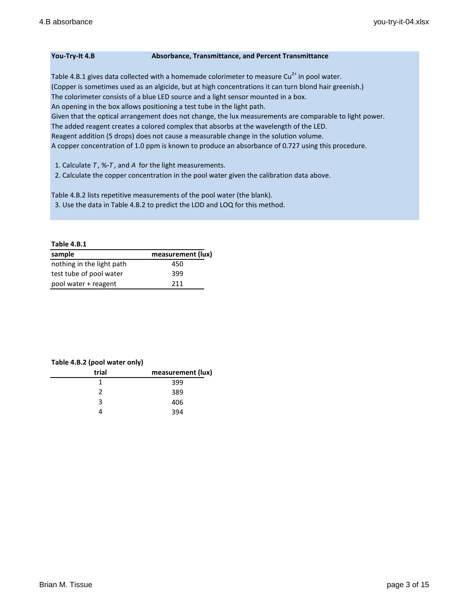### **You-Try-It 4.B Absorbance, Transmittance, and Percent Transmittance**

Table 4.B.1 gives data collected with a homemade colorimeter to measure  $Cu^{2+}$  in pool water. (Copper is sometimes used as an algicide, but at high concentrations it can turn blond hair greenish.) The colorimeter consists of a blue LED source and a light sensor mounted in a box. An opening in the box allows positioning a test tube in the light path. Given that the optical arrangement does not change, the lux measurements are comparable to light power. The added reagent creates a colored complex that absorbs at the wavelength of the LED. Reagent addition (5 drops) does not cause a measurable change in the solution volume. A copper concentration of 1.0 ppm is known to produce an absorbance of 0.727 using this procedure.

1. Calculate *T* , %-*T* , and *A* for the light measurements.

2. Calculate the copper concentration in the pool water given the calibration data above.

Table 4.B.2 lists repetitive measurements of the pool water (the blank). 3. Use the data in Table 4.B.2 to predict the LOD and LOQ for this method.

#### **Table 4.B.1**

| sample                    | measurement (lux) |
|---------------------------|-------------------|
| nothing in the light path | 450               |
| test tube of pool water   | 399               |
| pool water + reagent      | 211               |

#### **Table 4.B.2 (pool water only)**

| trial | measurement (lux) |
|-------|-------------------|
|       | 399               |
| າ     | 389               |
| R     | 406               |
|       | 394               |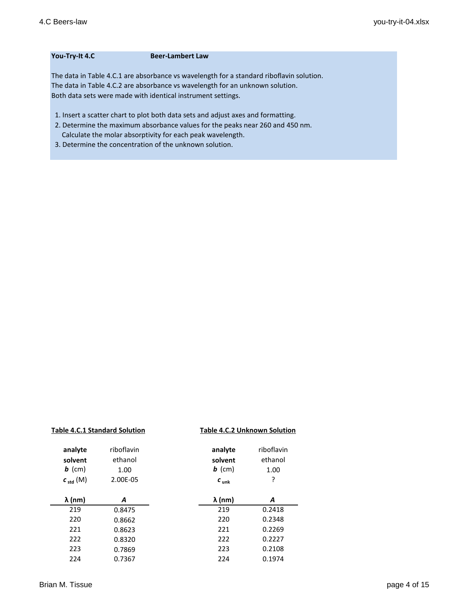#### **You-Try-It 4.C Beer-Lambert Law**

The data in Table 4.C.1 are absorbance vs wavelength for a standard riboflavin solution. The data in Table 4.C.2 are absorbance vs wavelength for an unknown solution. Both data sets were made with identical instrument settings.

- 1. Insert a scatter chart to plot both data sets and adjust axes and formatting.
- 2. Determine the maximum absorbance values for the peaks near 260 and 450 nm. Calculate the molar absorptivity for each peak wavelength.
- 3. Determine the concentration of the unknown solution.

| <b>Table 4.C.1 Standard Solution</b> |                               | <b>Table 4.C.2 Unknown Solution</b> |                               |
|--------------------------------------|-------------------------------|-------------------------------------|-------------------------------|
| analyte<br>solvent<br>$\bm{b}$ (cm)  | riboflavin<br>ethanol<br>1.00 | analyte<br>solvent<br>$\bm{b}$ (cm) | riboflavin<br>ethanol<br>1.00 |
| $c_{std}(M)$                         | 2.00E-05                      | $c_{\text{unk}}$                    | ?                             |
| $\lambda$ (nm)                       | A                             | $\lambda$ (nm)                      | А                             |
| 219                                  | 0.8475                        | 219                                 | 0.2418                        |
| 220                                  | 0.8662                        | 220                                 | 0.2348                        |
| 221                                  | 0.8623                        | 221                                 | 0.2269                        |
| 222                                  | 0.8320                        | 222                                 | 0.2227                        |
| 223                                  | 0.7869                        | 223                                 | 0.2108                        |
| 224                                  | 0.7367                        | 224                                 | 0.1974                        |
|                                      |                               |                                     |                               |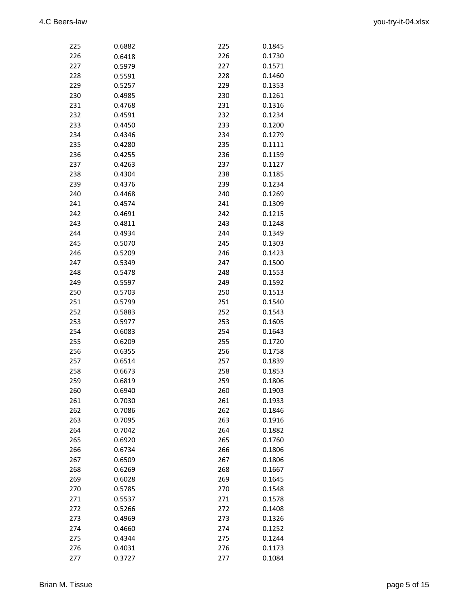| 225        | 0.6882           | 225        | 0.1845           |
|------------|------------------|------------|------------------|
| 226        | 0.6418           | 226        | 0.1730           |
| 227        | 0.5979           | 227        | 0.1571           |
| 228        | 0.5591           | 228        | 0.1460           |
| 229        | 0.5257           | 229        | 0.1353           |
| 230        | 0.4985           | 230        | 0.1261           |
| 231        | 0.4768           | 231        | 0.1316           |
| 232        | 0.4591           | 232        | 0.1234           |
| 233        | 0.4450           | 233        | 0.1200           |
| 234        | 0.4346           | 234        | 0.1279           |
| 235        | 0.4280           | 235        | 0.1111           |
| 236        | 0.4255           | 236        | 0.1159           |
| 237        | 0.4263           | 237        | 0.1127           |
| 238        | 0.4304           | 238        | 0.1185           |
| 239        | 0.4376           | 239        | 0.1234           |
| 240        | 0.4468           | 240        | 0.1269           |
| 241        | 0.4574           | 241        | 0.1309           |
| 242        | 0.4691           | 242        | 0.1215           |
| 243        | 0.4811           | 243        | 0.1248           |
| 244        | 0.4934           | 244        | 0.1349           |
| 245        | 0.5070           | 245        | 0.1303           |
| 246        | 0.5209           | 246        | 0.1423           |
| 247        | 0.5349           | 247        | 0.1500           |
| 248        | 0.5478           | 248        | 0.1553           |
| 249        | 0.5597           | 249        | 0.1592           |
| 250        | 0.5703           | 250        | 0.1513           |
| 251        | 0.5799           |            | 0.1540           |
|            |                  | 251        |                  |
| 252<br>253 | 0.5883<br>0.5977 | 252<br>253 | 0.1543<br>0.1605 |
| 254        | 0.6083           | 254        | 0.1643           |
|            | 0.6209           |            | 0.1720           |
| 255        |                  | 255        |                  |
| 256        | 0.6355           | 256        | 0.1758           |
| 257        | 0.6514           | 257        | 0.1839           |
| 258        | 0.6673           | 258        | 0.1853           |
| 259        | 0.6819           | 259        | 0.1806           |
| 260        | 0.6940           | 260        | 0.1903           |
| 261        | 0.7030           | 261        | 0.1933           |
| 262        | 0.7086           | 262        | 0.1846           |
| 263        | 0.7095           | 263        | 0.1916           |
| 264        | 0.7042           | 264        | 0.1882           |
| 265        | 0.6920           | 265        | 0.1760           |
| 266        | 0.6734           | 266        | 0.1806           |
| 267        | 0.6509           | 267        | 0.1806           |
| 268        | 0.6269           | 268        | 0.1667           |
| 269        | 0.6028           | 269        | 0.1645           |
| 270        | 0.5785           | 270        | 0.1548           |
| 271        | 0.5537           | 271        | 0.1578           |
| 272        | 0.5266           | 272        | 0.1408           |
| 273        | 0.4969           | 273        | 0.1326           |
| 274        | 0.4660           | 274        | 0.1252           |
| 275        | 0.4344           | 275        | 0.1244           |
| 276        | 0.4031           | 276        | 0.1173           |
| 277        | 0.3727           | 277        | 0.1084           |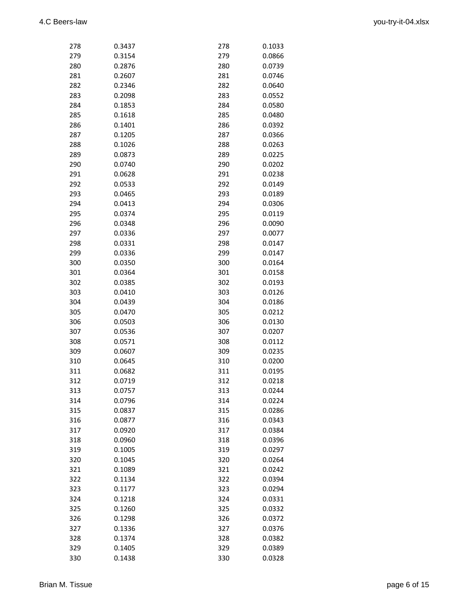| 278 | 0.3437 | 278 | 0.1033 |
|-----|--------|-----|--------|
| 279 | 0.3154 | 279 | 0.0866 |
| 280 | 0.2876 | 280 | 0.0739 |
| 281 | 0.2607 | 281 | 0.0746 |
| 282 | 0.2346 | 282 | 0.0640 |
| 283 | 0.2098 | 283 | 0.0552 |
| 284 | 0.1853 | 284 | 0.0580 |
| 285 | 0.1618 | 285 | 0.0480 |
| 286 | 0.1401 | 286 | 0.0392 |
| 287 | 0.1205 | 287 | 0.0366 |
| 288 | 0.1026 | 288 | 0.0263 |
| 289 | 0.0873 | 289 | 0.0225 |
| 290 | 0.0740 | 290 | 0.0202 |
| 291 | 0.0628 | 291 | 0.0238 |
| 292 | 0.0533 | 292 | 0.0149 |
| 293 | 0.0465 | 293 | 0.0189 |
| 294 | 0.0413 | 294 | 0.0306 |
|     |        |     |        |
| 295 | 0.0374 | 295 | 0.0119 |
| 296 | 0.0348 | 296 | 0.0090 |
| 297 | 0.0336 | 297 | 0.0077 |
| 298 | 0.0331 | 298 | 0.0147 |
| 299 | 0.0336 | 299 | 0.0147 |
| 300 | 0.0350 | 300 | 0.0164 |
| 301 | 0.0364 | 301 | 0.0158 |
| 302 | 0.0385 | 302 | 0.0193 |
| 303 | 0.0410 | 303 | 0.0126 |
| 304 | 0.0439 | 304 | 0.0186 |
| 305 | 0.0470 | 305 | 0.0212 |
| 306 | 0.0503 | 306 | 0.0130 |
| 307 | 0.0536 | 307 | 0.0207 |
| 308 | 0.0571 | 308 | 0.0112 |
| 309 | 0.0607 | 309 | 0.0235 |
| 310 | 0.0645 | 310 | 0.0200 |
| 311 | 0.0682 | 311 | 0.0195 |
| 312 | 0.0719 | 312 | 0.0218 |
| 313 | 0.0757 | 313 | 0.0244 |
| 314 | 0.0796 | 314 | 0.0224 |
| 315 | 0.0837 | 315 | 0.0286 |
| 316 | 0.0877 | 316 | 0.0343 |
| 317 | 0.0920 | 317 | 0.0384 |
| 318 | 0.0960 | 318 | 0.0396 |
| 319 | 0.1005 | 319 | 0.0297 |
| 320 | 0.1045 | 320 | 0.0264 |
| 321 | 0.1089 | 321 | 0.0242 |
| 322 | 0.1134 | 322 | 0.0394 |
| 323 | 0.1177 | 323 | 0.0294 |
| 324 | 0.1218 | 324 | 0.0331 |
| 325 | 0.1260 | 325 | 0.0332 |
| 326 | 0.1298 | 326 | 0.0372 |
| 327 | 0.1336 | 327 | 0.0376 |
| 328 | 0.1374 | 328 | 0.0382 |
| 329 | 0.1405 | 329 | 0.0389 |
| 330 | 0.1438 | 330 | 0.0328 |
|     |        |     |        |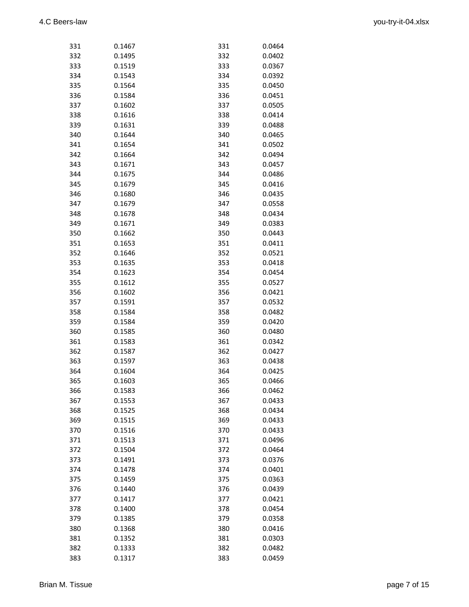| 331 | 0.1467 | 331 | 0.0464 |
|-----|--------|-----|--------|
| 332 | 0.1495 | 332 | 0.0402 |
| 333 | 0.1519 | 333 | 0.0367 |
| 334 | 0.1543 | 334 | 0.0392 |
| 335 | 0.1564 | 335 | 0.0450 |
| 336 | 0.1584 | 336 | 0.0451 |
| 337 | 0.1602 | 337 | 0.0505 |
| 338 | 0.1616 | 338 | 0.0414 |
| 339 | 0.1631 | 339 | 0.0488 |
| 340 | 0.1644 | 340 | 0.0465 |
| 341 | 0.1654 | 341 | 0.0502 |
| 342 | 0.1664 | 342 | 0.0494 |
| 343 | 0.1671 | 343 | 0.0457 |
| 344 | 0.1675 | 344 | 0.0486 |
| 345 |        | 345 | 0.0416 |
| 346 | 0.1679 | 346 |        |
|     | 0.1680 |     | 0.0435 |
| 347 | 0.1679 | 347 | 0.0558 |
| 348 | 0.1678 | 348 | 0.0434 |
| 349 | 0.1671 | 349 | 0.0383 |
| 350 | 0.1662 | 350 | 0.0443 |
| 351 | 0.1653 | 351 | 0.0411 |
| 352 | 0.1646 | 352 | 0.0521 |
| 353 | 0.1635 | 353 | 0.0418 |
| 354 | 0.1623 | 354 | 0.0454 |
| 355 | 0.1612 | 355 | 0.0527 |
| 356 | 0.1602 | 356 | 0.0421 |
| 357 | 0.1591 | 357 | 0.0532 |
| 358 | 0.1584 | 358 | 0.0482 |
| 359 | 0.1584 | 359 | 0.0420 |
| 360 | 0.1585 | 360 | 0.0480 |
| 361 | 0.1583 | 361 | 0.0342 |
| 362 | 0.1587 | 362 | 0.0427 |
| 363 | 0.1597 | 363 | 0.0438 |
| 364 | 0.1604 | 364 | 0.0425 |
| 365 | 0.1603 | 365 | 0.0466 |
| 366 | 0.1583 | 366 | 0.0462 |
| 367 | 0.1553 | 367 | 0.0433 |
| 368 | 0.1525 | 368 | 0.0434 |
| 369 | 0.1515 | 369 | 0.0433 |
| 370 | 0.1516 | 370 | 0.0433 |
| 371 | 0.1513 | 371 | 0.0496 |
| 372 | 0.1504 | 372 | 0.0464 |
| 373 | 0.1491 | 373 | 0.0376 |
| 374 | 0.1478 | 374 | 0.0401 |
| 375 | 0.1459 | 375 | 0.0363 |
| 376 | 0.1440 | 376 | 0.0439 |
| 377 | 0.1417 | 377 | 0.0421 |
| 378 | 0.1400 | 378 | 0.0454 |
| 379 | 0.1385 | 379 | 0.0358 |
| 380 | 0.1368 | 380 | 0.0416 |
| 381 | 0.1352 |     | 0.0303 |
|     |        | 381 |        |
| 382 | 0.1333 | 382 | 0.0482 |
| 383 | 0.1317 | 383 | 0.0459 |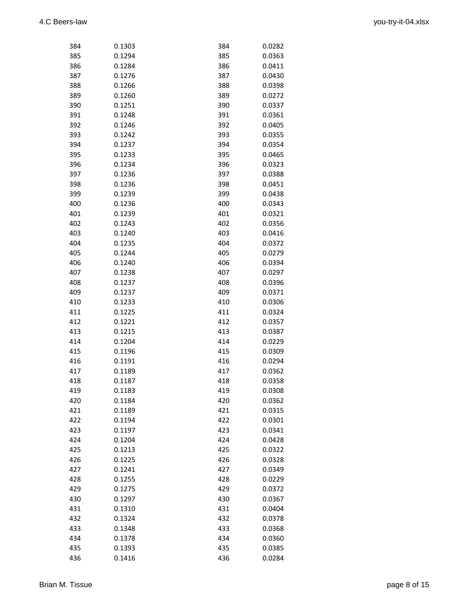| 384        | 0.1303           | 384        | 0.0282 |
|------------|------------------|------------|--------|
| 385        | 0.1294           | 385        | 0.0363 |
| 386        | 0.1284           | 386        | 0.0411 |
| 387        | 0.1276           | 387        | 0.0430 |
| 388        | 0.1266           | 388        | 0.0398 |
| 389        | 0.1260           | 389        | 0.0272 |
| 390        | 0.1251           | 390        | 0.0337 |
| 391        | 0.1248           | 391        | 0.0361 |
| 392        | 0.1246           | 392        | 0.0405 |
| 393        | 0.1242           | 393        | 0.0355 |
| 394        | 0.1237           | 394        | 0.0354 |
| 395        | 0.1233           | 395        | 0.0465 |
| 396        | 0.1234           | 396        | 0.0323 |
| 397        | 0.1236           | 397        | 0.0388 |
| 398        | 0.1236           | 398        | 0.0451 |
| 399        | 0.1239           | 399        | 0.0438 |
| 400        | 0.1236           | 400        | 0.0343 |
| 401        | 0.1239           | 401        | 0.0321 |
| 402        | 0.1243           | 402        | 0.0356 |
| 403        | 0.1240           | 403        | 0.0416 |
| 404        |                  | 404        |        |
|            | 0.1235<br>0.1244 |            | 0.0372 |
| 405        |                  | 405        | 0.0279 |
| 406        | 0.1240           | 406        | 0.0394 |
| 407        | 0.1238           | 407        | 0.0297 |
| 408        | 0.1237           | 408        | 0.0396 |
| 409        | 0.1237           | 409        | 0.0371 |
| 410        | 0.1233           | 410        | 0.0306 |
| 411<br>412 | 0.1225<br>0.1221 | 411<br>412 | 0.0324 |
| 413        |                  | 413        | 0.0357 |
|            | 0.1215<br>0.1204 |            | 0.0387 |
| 414        |                  | 414        | 0.0229 |
| 415        | 0.1196           | 415        | 0.0309 |
| 416        | 0.1191           | 416        | 0.0294 |
| 417        | 0.1189           | 417        | 0.0362 |
| 418        | 0.1187           | 418        | 0.0358 |
| 419        | 0.1183           | 419        | 0.0308 |
| 420        | 0.1184           | 420        | 0.0362 |
| 421        | 0.1189           | 421        | 0.0315 |
| 422        | 0.1194           | 422        | 0.0301 |
| 423        | 0.1197           | 423        | 0.0341 |
| 424        | 0.1204           | 424        | 0.0428 |
| 425        | 0.1213           | 425        | 0.0322 |
| 426        | 0.1225           | 426        | 0.0328 |
| 427        | 0.1241           | 427        | 0.0349 |
| 428        | 0.1255           | 428        | 0.0229 |
| 429        | 0.1275           | 429        | 0.0372 |
| 430        | 0.1297           | 430        | 0.0367 |
| 431        | 0.1310           | 431        | 0.0404 |
| 432        | 0.1324           | 432        | 0.0378 |
| 433        | 0.1348           | 433        | 0.0368 |
| 434        | 0.1378           | 434        | 0.0360 |
| 435        | 0.1393           | 435        | 0.0385 |
| 436        | 0.1416           | 436        | 0.0284 |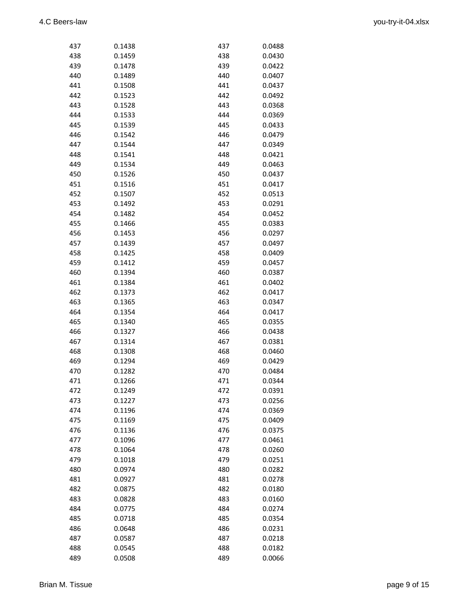| 437 | 0.1438 | 437 | 0.0488 |
|-----|--------|-----|--------|
| 438 | 0.1459 | 438 | 0.0430 |
| 439 | 0.1478 | 439 | 0.0422 |
| 440 | 0.1489 | 440 | 0.0407 |
| 441 | 0.1508 | 441 | 0.0437 |
| 442 | 0.1523 | 442 | 0.0492 |
| 443 | 0.1528 | 443 | 0.0368 |
| 444 | 0.1533 | 444 | 0.0369 |
| 445 | 0.1539 | 445 | 0.0433 |
| 446 | 0.1542 | 446 | 0.0479 |
| 447 | 0.1544 | 447 | 0.0349 |
| 448 | 0.1541 | 448 | 0.0421 |
| 449 | 0.1534 | 449 | 0.0463 |
| 450 | 0.1526 | 450 | 0.0437 |
| 451 | 0.1516 | 451 | 0.0417 |
| 452 | 0.1507 | 452 | 0.0513 |
| 453 | 0.1492 | 453 | 0.0291 |
| 454 | 0.1482 | 454 | 0.0452 |
| 455 | 0.1466 | 455 | 0.0383 |
| 456 | 0.1453 | 456 | 0.0297 |
| 457 | 0.1439 | 457 | 0.0497 |
| 458 | 0.1425 | 458 | 0.0409 |
| 459 | 0.1412 | 459 | 0.0457 |
| 460 | 0.1394 | 460 | 0.0387 |
| 461 | 0.1384 | 461 | 0.0402 |
| 462 | 0.1373 | 462 | 0.0417 |
| 463 | 0.1365 | 463 | 0.0347 |
| 464 | 0.1354 | 464 | 0.0417 |
| 465 | 0.1340 | 465 | 0.0355 |
| 466 | 0.1327 | 466 | 0.0438 |
| 467 | 0.1314 | 467 | 0.0381 |
| 468 | 0.1308 | 468 | 0.0460 |
| 469 | 0.1294 | 469 | 0.0429 |
| 470 | 0.1282 | 470 | 0.0484 |
| 471 | 0.1266 | 471 | 0.0344 |
| 472 | 0.1249 | 472 | 0.0391 |
| 473 | 0.1227 | 473 | 0.0256 |
| 474 | 0.1196 | 474 | 0.0369 |
| 475 | 0.1169 | 475 | 0.0409 |
| 476 | 0.1136 | 476 | 0.0375 |
| 477 | 0.1096 | 477 | 0.0461 |
| 478 | 0.1064 | 478 | 0.0260 |
| 479 | 0.1018 | 479 | 0.0251 |
| 480 | 0.0974 | 480 | 0.0282 |
| 481 | 0.0927 | 481 | 0.0278 |
| 482 | 0.0875 | 482 | 0.0180 |
| 483 | 0.0828 | 483 | 0.0160 |
| 484 | 0.0775 | 484 | 0.0274 |
| 485 | 0.0718 | 485 | 0.0354 |
| 486 | 0.0648 | 486 | 0.0231 |
| 487 | 0.0587 | 487 | 0.0218 |
| 488 | 0.0545 | 488 | 0.0182 |
| 489 | 0.0508 | 489 | 0.0066 |
|     |        |     |        |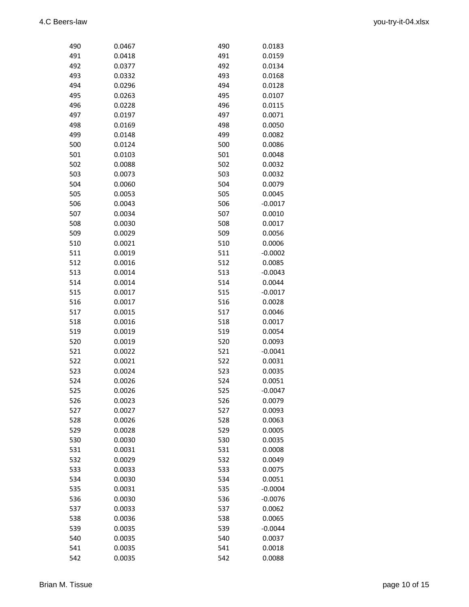| 490 | 0.0467 | 490 | 0.0183    |
|-----|--------|-----|-----------|
| 491 | 0.0418 | 491 | 0.0159    |
| 492 | 0.0377 | 492 | 0.0134    |
| 493 | 0.0332 | 493 | 0.0168    |
| 494 | 0.0296 | 494 | 0.0128    |
| 495 | 0.0263 | 495 | 0.0107    |
| 496 | 0.0228 | 496 | 0.0115    |
| 497 | 0.0197 | 497 | 0.0071    |
| 498 | 0.0169 | 498 | 0.0050    |
| 499 | 0.0148 | 499 | 0.0082    |
| 500 | 0.0124 | 500 | 0.0086    |
| 501 | 0.0103 | 501 | 0.0048    |
| 502 | 0.0088 | 502 | 0.0032    |
| 503 | 0.0073 | 503 | 0.0032    |
| 504 | 0.0060 | 504 | 0.0079    |
| 505 | 0.0053 | 505 | 0.0045    |
| 506 | 0.0043 | 506 | $-0.0017$ |
| 507 | 0.0034 | 507 | 0.0010    |
| 508 | 0.0030 | 508 | 0.0017    |
| 509 | 0.0029 | 509 | 0.0056    |
| 510 | 0.0021 | 510 | 0.0006    |
| 511 | 0.0019 | 511 | $-0.0002$ |
| 512 | 0.0016 | 512 | 0.0085    |
| 513 | 0.0014 | 513 | $-0.0043$ |
| 514 | 0.0014 | 514 | 0.0044    |
| 515 | 0.0017 | 515 | $-0.0017$ |
| 516 | 0.0017 | 516 | 0.0028    |
| 517 | 0.0015 | 517 | 0.0046    |
| 518 | 0.0016 | 518 | 0.0017    |
| 519 | 0.0019 | 519 | 0.0054    |
| 520 | 0.0019 | 520 | 0.0093    |
| 521 | 0.0022 | 521 | $-0.0041$ |
| 522 | 0.0021 | 522 | 0.0031    |
| 523 | 0.0024 | 523 | 0.0035    |
| 524 | 0.0026 | 524 | 0.0051    |
| 525 | 0.0026 | 525 | $-0.0047$ |
| 526 | 0.0023 | 526 | 0.0079    |
| 527 | 0.0027 | 527 | 0.0093    |
| 528 | 0.0026 | 528 | 0.0063    |
| 529 | 0.0028 | 529 | 0.0005    |
| 530 | 0.0030 | 530 | 0.0035    |
| 531 | 0.0031 | 531 | 0.0008    |
| 532 | 0.0029 | 532 | 0.0049    |
| 533 | 0.0033 | 533 | 0.0075    |
| 534 | 0.0030 | 534 | 0.0051    |
| 535 | 0.0031 | 535 | $-0.0004$ |
| 536 | 0.0030 | 536 | $-0.0076$ |
| 537 | 0.0033 | 537 | 0.0062    |
| 538 | 0.0036 | 538 | 0.0065    |
| 539 | 0.0035 | 539 | $-0.0044$ |
| 540 | 0.0035 | 540 | 0.0037    |
| 541 | 0.0035 | 541 | 0.0018    |
| 542 | 0.0035 | 542 | 0.0088    |
|     |        |     |           |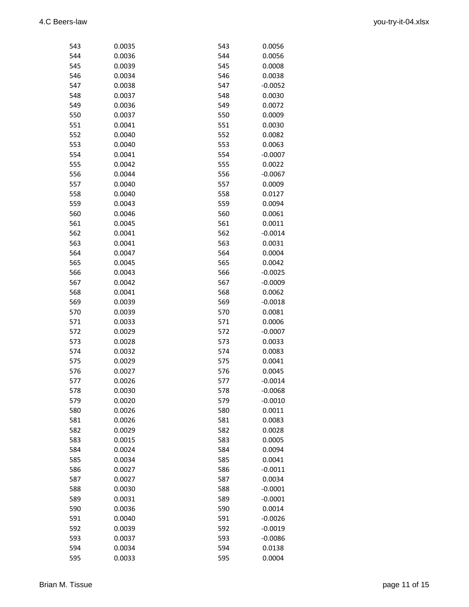| 543 | 0.0035        | 543 | 0.0056    |
|-----|---------------|-----|-----------|
| 544 | 0.0036        | 544 | 0.0056    |
| 545 | 545<br>0.0039 |     | 0.0008    |
| 546 | 0.0034        | 546 | 0.0038    |
| 547 | 0.0038        | 547 | $-0.0052$ |
| 548 | 0.0037        | 548 | 0.0030    |
| 549 | 0.0036        | 549 | 0.0072    |
| 550 | 0.0037        | 550 | 0.0009    |
| 551 | 0.0041        | 551 | 0.0030    |
| 552 | 0.0040        | 552 | 0.0082    |
| 553 | 0.0040        | 553 | 0.0063    |
| 554 | 0.0041        | 554 | $-0.0007$ |
| 555 | 0.0042        | 555 | 0.0022    |
| 556 | 0.0044        | 556 | $-0.0067$ |
| 557 | 0.0040        | 557 | 0.0009    |
| 558 | 0.0040        | 558 | 0.0127    |
| 559 | 0.0043        | 559 |           |
|     |               |     | 0.0094    |
| 560 | 0.0046        | 560 | 0.0061    |
| 561 | 0.0045        | 561 | 0.0011    |
| 562 | 0.0041        | 562 | $-0.0014$ |
| 563 | 0.0041        | 563 | 0.0031    |
| 564 | 0.0047        | 564 | 0.0004    |
| 565 | 0.0045        | 565 | 0.0042    |
| 566 | 0.0043        | 566 | $-0.0025$ |
| 567 | 0.0042        | 567 | $-0.0009$ |
| 568 | 0.0041        | 568 | 0.0062    |
| 569 | 0.0039        | 569 | $-0.0018$ |
| 570 | 0.0039        | 570 | 0.0081    |
| 571 | 0.0033        | 571 | 0.0006    |
| 572 | 0.0029        | 572 | $-0.0007$ |
| 573 | 0.0028        | 573 | 0.0033    |
| 574 | 0.0032        | 574 | 0.0083    |
| 575 | 0.0029        | 575 | 0.0041    |
| 576 | 0.0027        | 576 | 0.0045    |
| 577 | 0.0026        | 577 | $-0.0014$ |
| 578 | 0.0030        | 578 | $-0.0068$ |
| 579 | 0.0020        | 579 | $-0.0010$ |
| 580 | 0.0026        | 580 | 0.0011    |
| 581 | 0.0026        | 581 | 0.0083    |
| 582 | 0.0029        | 582 | 0.0028    |
| 583 | 0.0015        | 583 | 0.0005    |
| 584 | 0.0024        | 584 | 0.0094    |
| 585 | 0.0034        | 585 | 0.0041    |
| 586 | 0.0027        | 586 | $-0.0011$ |
| 587 | 0.0027        | 587 | 0.0034    |
| 588 | 0.0030        | 588 | $-0.0001$ |
| 589 | 0.0031        | 589 | $-0.0001$ |
| 590 | 0.0036        | 590 | 0.0014    |
| 591 | 0.0040        | 591 | $-0.0026$ |
| 592 | 0.0039        | 592 | $-0.0019$ |
| 593 | 0.0037        |     |           |
|     |               | 593 | $-0.0086$ |
| 594 | 0.0034        | 594 | 0.0138    |
| 595 | 0.0033        | 595 | 0.0004    |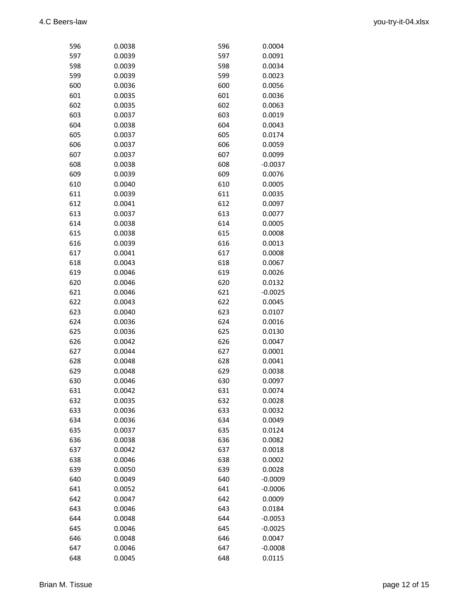| 596        | 0.0038           | 596 | 0.0004           |
|------------|------------------|-----|------------------|
| 597        | 0.0039           | 597 | 0.0091           |
| 598        | 0.0039           | 598 | 0.0034           |
| 599        | 0.0039           | 599 | 0.0023           |
| 600        | 0.0036           | 600 | 0.0056           |
| 601        | 0.0035           | 601 | 0.0036           |
| 602        | 0.0035           | 602 | 0.0063           |
| 603        | 0.0037           | 603 | 0.0019           |
| 604        | 0.0038           | 604 | 0.0043           |
| 605        | 0.0037           | 605 | 0.0174           |
| 606        | 0.0037           | 606 | 0.0059           |
| 607        | 0.0037           | 607 | 0.0099           |
| 608        | 0.0038           | 608 | $-0.0037$        |
| 609        | 0.0039           | 609 | 0.0076           |
| 610        | 0.0040           | 610 | 0.0005           |
| 611        | 0.0039           | 611 | 0.0035           |
| 612        | 0.0041           | 612 | 0.0097           |
| 613        | 0.0037           | 613 | 0.0077           |
| 614        | 0.0038           | 614 | 0.0005           |
| 615        | 0.0038           | 615 | 0.0008           |
| 616        | 0.0039           | 616 | 0.0013           |
| 617        | 0.0041           | 617 | 0.0008           |
| 618        | 0.0043           | 618 | 0.0067           |
| 619        | 0.0046           | 619 | 0.0026           |
| 620        | 0.0046           | 620 | 0.0132           |
| 621        | 0.0046           | 621 | $-0.0025$        |
| 622        | 0.0043           | 622 | 0.0045           |
| 623        | 0.0040           | 623 | 0.0107           |
| 624        | 0.0036           | 624 | 0.0016           |
| 625        | 0.0036           | 625 | 0.0130           |
| 626        | 0.0042           | 626 | 0.0047           |
| 627        | 0.0044           | 627 | 0.0001           |
|            | 0.0048           | 628 | 0.0041           |
| 628        | 0.0048           |     |                  |
| 629        |                  | 629 | 0.0038           |
| 630<br>631 | 0.0046<br>0.0042 | 630 | 0.0097<br>0.0074 |
|            |                  | 631 |                  |
| 632        | 0.0035           | 632 | 0.0028           |
| 633        | 0.0036           | 633 | 0.0032           |
| 634        | 0.0036           | 634 | 0.0049           |
| 635        | 0.0037           | 635 | 0.0124           |
| 636        | 0.0038           | 636 | 0.0082           |
| 637        | 0.0042           | 637 | 0.0018           |
| 638        | 0.0046           | 638 | 0.0002           |
| 639        | 0.0050           | 639 | 0.0028           |
| 640        | 0.0049           | 640 | $-0.0009$        |
| 641        | 0.0052           | 641 | $-0.0006$        |
| 642        | 0.0047           | 642 | 0.0009           |
| 643        | 0.0046           | 643 | 0.0184           |
| 644        | 0.0048           | 644 | $-0.0053$        |
| 645        | 0.0046           | 645 | $-0.0025$        |
| 646        | 0.0048           | 646 | 0.0047           |
| 647        | 0.0046           | 647 | $-0.0008$        |
| 648        | 0.0045           | 648 | 0.0115           |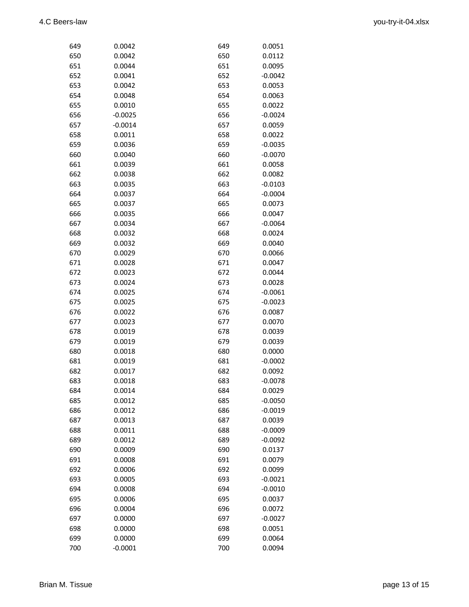| 649        | 0.0042           | 649        | 0.0051           |
|------------|------------------|------------|------------------|
| 650        | 0.0042           | 650        |                  |
| 651        | 0.0044           | 651        |                  |
| 652        | 0.0041           | 652        | $-0.0042$        |
| 653        | 0.0042           | 653        | 0.0053           |
| 654        | 0.0048           | 654        | 0.0063           |
| 655        | 0.0010           | 655        | 0.0022           |
| 656        | $-0.0025$        | 656        | $-0.0024$        |
| 657        | $-0.0014$        | 657        | 0.0059           |
| 658        | 0.0011           | 658        | 0.0022           |
| 659        | 0.0036           | 659        | $-0.0035$        |
| 660        | 0.0040           | 660        | $-0.0070$        |
| 661        | 0.0039           | 661        | 0.0058           |
| 662        | 0.0038           | 662        | 0.0082           |
| 663        | 0.0035           | 663        | $-0.0103$        |
| 664        | 0.0037           | 664        | $-0.0004$        |
| 665        | 0.0037           | 665        | 0.0073           |
| 666        | 0.0035           | 666        | 0.0047           |
| 667        | 0.0034           | 667        | $-0.0064$        |
| 668        | 0.0032           | 668        | 0.0024           |
| 669        | 0.0032           | 669        | 0.0040           |
| 670        | 0.0029           | 670        | 0.0066           |
| 671        | 0.0028           | 671        | 0.0047           |
| 672        | 0.0023           | 672        | 0.0044           |
| 673        | 0.0024           | 673        | 0.0028           |
| 674        | 0.0025           | 674        | $-0.0061$        |
| 675        | 0.0025           | 675        | $-0.0023$        |
| 676        | 0.0022           | 676        | 0.0087           |
| 677        | 0.0023           | 677        | 0.0070           |
| 678        | 0.0019           | 678        | 0.0039           |
| 679        | 0.0019           | 679        | 0.0039           |
| 680        | 0.0018           | 680        | 0.0000           |
| 681        | 0.0019           | 681        | $-0.0002$        |
| 682        | 0.0017           | 682        | 0.0092           |
| 683        | 0.0018           | 683        | $-0.0078$        |
| 684        | 0.0014           | 684        | 0.0029           |
| 685        | 0.0012           | 685        | $-0.0050$        |
| 686        | 0.0012           | 686        | $-0.0019$        |
| 687        | 0.0013           | 687        | 0.0039           |
| 688        | 0.0011           | 688        | $-0.0009$        |
| 689        | 0.0012           | 689        | $-0.0092$        |
| 690        | 0.0009           | 690        | 0.0137           |
| 691        | 0.0008           | 691        | 0.0079           |
| 692        | 0.0006           | 692        | 0.0099           |
| 693        | 0.0005           | 693        | $-0.0021$        |
| 694        | 0.0008           | 694        | $-0.0010$        |
| 695        |                  | 695        |                  |
| 696        | 0.0006<br>0.0004 | 696        | 0.0037<br>0.0072 |
| 697        | 0.0000           | 697        |                  |
|            |                  |            | $-0.0027$        |
| 698<br>699 | 0.0000<br>0.0000 | 698<br>699 | 0.0051<br>0.0064 |
| 700        | $-0.0001$        |            | 0.0094           |
|            |                  | 700        |                  |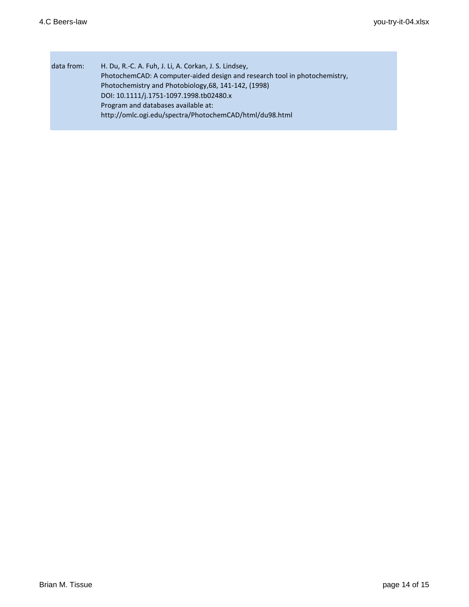Г

| data from: | H. Du, R.-C. A. Fuh, J. Li, A. Corkan, J. S. Lindsey,                      |
|------------|----------------------------------------------------------------------------|
|            | PhotochemCAD: A computer-aided design and research tool in photochemistry, |
|            | Photochemistry and Photobiology, 68, 141-142, (1998)                       |
|            | DOI: 10.1111/j.1751-1097.1998.tb02480.x                                    |
|            | Program and databases available at:                                        |
|            | http://omlc.ogi.edu/spectra/PhotochemCAD/html/du98.html                    |
|            |                                                                            |